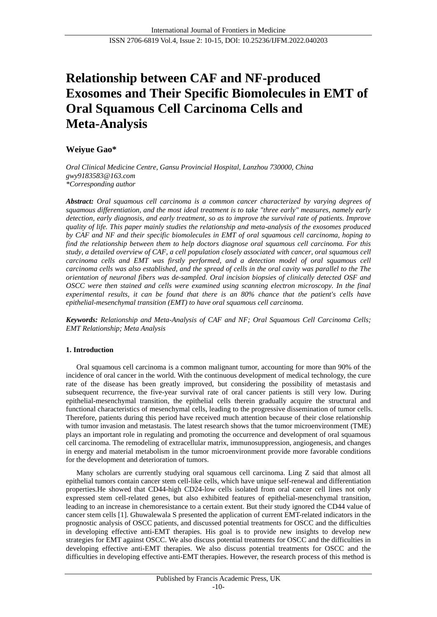# **Relationship between CAF and NF-produced Exosomes and Their Specific Biomolecules in EMT of Oral Squamous Cell Carcinoma Cells and Meta-Analysis**

## **Weiyue Gao\***

*Oral Clinical Medicine Centre, Gansu Provincial Hospital, Lanzhou 730000, China gwy9183583@163.com \*Corresponding author*

*Abstract: Oral squamous cell carcinoma is a common cancer characterized by varying degrees of squamous differentiation, and the most ideal treatment is to take "three early" measures, namely early detection, early diagnosis, and early treatment, so as to improve the survival rate of patients. Improve quality of life. This paper mainly studies the relationship and meta-analysis of the exosomes produced by CAF and NF and their specific biomolecules in EMT of oral squamous cell carcinoma, hoping to find the relationship between them to help doctors diagnose oral squamous cell carcinoma. For this study, a detailed overview of CAF, a cell population closely associated with cancer, oral squamous cell carcinoma cells and EMT was firstly performed, and a detection model of oral squamous cell carcinoma cells was also established, and the spread of cells in the oral cavity was parallel to the The orientation of neuronal fibers was de-sampled. Oral incision biopsies of clinically detected OSF and OSCC were then stained and cells were examined using scanning electron microscopy. In the final experimental results, it can be found that there is an 80% chance that the patient's cells have epithelial-mesenchymal transition (EMT) to have oral squamous cell carcinoma.*

*Keywords: Relationship and Meta-Analysis of CAF and NF; Oral Squamous Cell Carcinoma Cells; EMT Relationship; Meta Analysis*

## **1. Introduction**

Oral squamous cell carcinoma is a common malignant tumor, accounting for more than 90% of the incidence of oral cancer in the world. With the continuous development of medical technology, the cure rate of the disease has been greatly improved, but considering the possibility of metastasis and subsequent recurrence, the five-year survival rate of oral cancer patients is still very low. During epithelial-mesenchymal transition, the epithelial cells therein gradually acquire the structural and functional characteristics of mesenchymal cells, leading to the progressive dissemination of tumor cells. Therefore, patients during this period have received much attention because of their close relationship with tumor invasion and metastasis. The latest research shows that the tumor microenvironment (TME) plays an important role in regulating and promoting the occurrence and development of oral squamous cell carcinoma. The remodeling of extracellular matrix, immunosuppression, angiogenesis, and changes in energy and material metabolism in the tumor microenvironment provide more favorable conditions for the development and deterioration of tumors.

Many scholars are currently studying oral squamous cell carcinoma. Ling Z said that almost all epithelial tumors contain cancer stem cell-like cells, which have unique self-renewal and differentiation properties.He showed that CD44-high CD24-low cells isolated from oral cancer cell lines not only expressed stem cell-related genes, but also exhibited features of epithelial-mesenchymal transition, leading to an increase in chemoresistance to a certain extent. But their study ignored the CD44 value of cancer stem cells [1]. Ghuwalewala S presented the application of current EMT-related indicators in the prognostic analysis of OSCC patients, and discussed potential treatments for OSCC and the difficulties in developing effective anti-EMT therapies. His goal is to provide new insights to develop new strategies for EMT against OSCC. We also discuss potential treatments for OSCC and the difficulties in developing effective anti-EMT therapies. We also discuss potential treatments for OSCC and the difficulties in developing effective anti-EMT therapies. However, the research process of this method is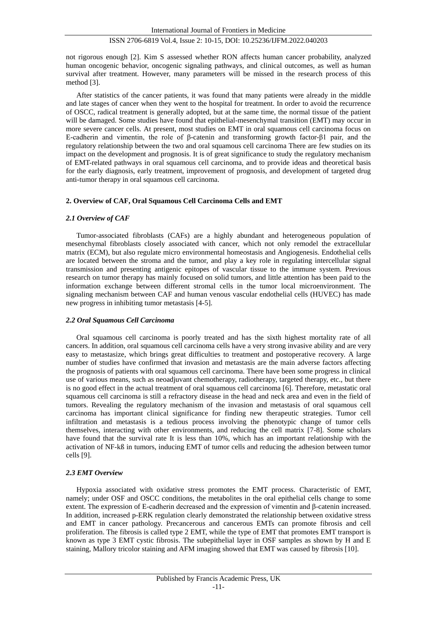not rigorous enough [2]. Kim S assessed whether RON affects human cancer probability, analyzed human oncogenic behavior, oncogenic signaling pathways, and clinical outcomes, as well as human survival after treatment. However, many parameters will be missed in the research process of this method [3].

After statistics of the cancer patients, it was found that many patients were already in the middle and late stages of cancer when they went to the hospital for treatment. In order to avoid the recurrence of OSCC, radical treatment is generally adopted, but at the same time, the normal tissue of the patient will be damaged. Some studies have found that epithelial-mesenchymal transition (EMT) may occur in more severe cancer cells. At present, most studies on EMT in oral squamous cell carcinoma focus on E-cadherin and vimentin, the role of β-catenin and transforming growth factor-β1 pair, and the regulatory relationship between the two and oral squamous cell carcinoma There are few studies on its impact on the development and prognosis. It is of great significance to study the regulatory mechanism of EMT-related pathways in oral squamous cell carcinoma, and to provide ideas and theoretical basis for the early diagnosis, early treatment, improvement of prognosis, and development of targeted drug anti-tumor therapy in oral squamous cell carcinoma.

#### **2. Overview of CAF, Oral Squamous Cell Carcinoma Cells and EMT**

#### *2.1 Overview of CAF*

Tumor-associated fibroblasts (CAFs) are a highly abundant and heterogeneous population of mesenchymal fibroblasts closely associated with cancer, which not only remodel the extracellular matrix (ECM), but also regulate micro environmental homeostasis and Angiogenesis. Endothelial cells are located between the stroma and the tumor, and play a key role in regulating intercellular signal transmission and presenting antigenic epitopes of vascular tissue to the immune system. Previous research on tumor therapy has mainly focused on solid tumors, and little attention has been paid to the information exchange between different stromal cells in the tumor local microenvironment. The signaling mechanism between CAF and human venous vascular endothelial cells (HUVEC) has made new progress in inhibiting tumor metastasis [4-5].

#### *2.2 Oral Squamous Cell Carcinoma*

Oral squamous cell carcinoma is poorly treated and has the sixth highest mortality rate of all cancers. In addition, oral squamous cell carcinoma cells have a very strong invasive ability and are very easy to metastasize, which brings great difficulties to treatment and postoperative recovery. A large number of studies have confirmed that invasion and metastasis are the main adverse factors affecting the prognosis of patients with oral squamous cell carcinoma. There have been some progress in clinical use of various means, such as neoadjuvant chemotherapy, radiotherapy, targeted therapy, etc., but there is no good effect in the actual treatment of oral squamous cell carcinoma [6]. Therefore, metastatic oral squamous cell carcinoma is still a refractory disease in the head and neck area and even in the field of tumors. Revealing the regulatory mechanism of the invasion and metastasis of oral squamous cell carcinoma has important clinical significance for finding new therapeutic strategies. Tumor cell infiltration and metastasis is a tedious process involving the phenotypic change of tumor cells themselves, interacting with other environments, and reducing the cell matrix [7-8]. Some scholars have found that the survival rate It is less than 10%, which has an important relationship with the activation of NF-kß in tumors, inducing EMT of tumor cells and reducing the adhesion between tumor cells [9].

## *2.3 EMT Overview*

Hypoxia associated with oxidative stress promotes the EMT process. Characteristic of EMT, namely; under OSF and OSCC conditions, the metabolites in the oral epithelial cells change to some extent. The expression of E-cadherin decreased and the expression of vimentin and β-catenin increased. In addition, increased p-ERK regulation clearly demonstrated the relationship between oxidative stress and EMT in cancer pathology. Precancerous and cancerous EMTs can promote fibrosis and cell proliferation. The fibrosis is called type 2 EMT, while the type of EMT that promotes EMT transport is known as type 3 EMT cystic fibrosis. The subepithelial layer in OSF samples as shown by H and E staining, Mallory tricolor staining and AFM imaging showed that EMT was caused by fibrosis [10].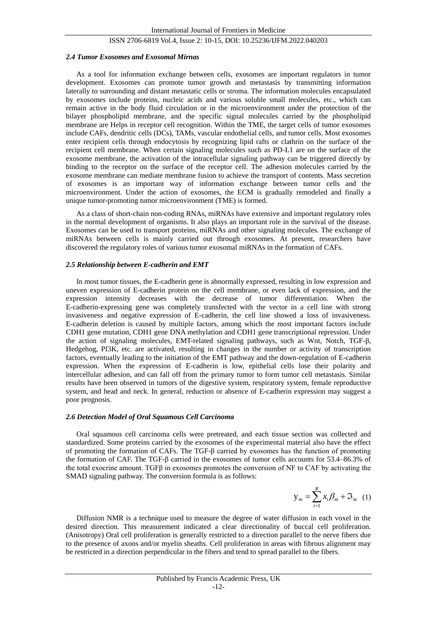#### *2.4 Tumor Exosomes and Exosomal Mirnas*

As a tool for information exchange between cells, exosomes are important regulators in tumor development. Exosomes can promote tumor growth and metastasis by transmitting information laterally to surrounding and distant metastatic cells or stroma. The information molecules encapsulated by exosomes include proteins, nucleic acids and various soluble small molecules, etc., which can remain active in the body fluid circulation or in the microenvironment under the protection of the bilayer phospholipid membrane, and the specific signal molecules carried by the phospholipid membrane are Helps in receptor cell recognition. Within the TME, the target cells of tumor exosomes include CAFs, dendritic cells (DCs), TAMs, vascular endothelial cells, and tumor cells. Most exosomes enter recipient cells through endocytosis by recognizing lipid rafts or clathrin on the surface of the recipient cell membrane. When certain signaling molecules such as PD-L1 are on the surface of the exosome membrane, the activation of the intracellular signaling pathway can be triggered directly by binding to the receptor on the surface of the receptor cell. The adhesion molecules carried by the exosome membrane can mediate membrane fusion to achieve the transport of contents. Mass secretion of exosomes is an important way of information exchange between tumor cells and the microenvironment. Under the action of exosomes, the ECM is gradually remodeled and finally a unique tumor-promoting tumor microenvironment (TME) is formed.

As a class of short-chain non-coding RNAs, miRNAs have extensive and important regulatory roles in the normal development of organisms. It also plays an important role in the survival of the disease. Exosomes can be used to transport proteins, miRNAs and other signaling molecules. The exchange of miRNAs between cells is mainly carried out through exosomes. At present, researchers have discovered the regulatory roles of various tumor exosomal miRNAs in the formation of CAFs.

#### *2.5 Relationship between E-cadherin and EMT*

In most tumor tissues, the E-cadherin gene is abnormally expressed, resulting in low expression and uneven expression of E-cadherin protein on the cell membrane, or even lack of expression, and the expression intensity decreases with the decrease of tumor differentiation. When the E-cadherin-expressing gene was completely transfected with the vector in a cell line with strong invasiveness and negative expression of E-cadherin, the cell line showed a loss of invasiveness. E-cadherin deletion is caused by multiple factors, among which the most important factors include CDH1 gene mutation, CDH1 gene DNA methylation and CDH1 gene transcriptional repression. Under the action of signaling molecules, EMT-related signaling pathways, such as Wnt, Notch, TGF-β, Hedgehog, PI3K, etc. are activated, resulting in changes in the number or activity of transcription factors, eventually leading to the initiation of the EMT pathway and the down-regulation of E-cadherin expression. When the expression of E-cadherin is low, epithelial cells lose their polarity and intercellular adhesion, and can fall off from the primary tumor to form tumor cell metastasis. Similar results have been observed in tumors of the digestive system, respiratory system, female reproductive system, and head and neck. In general, reduction or absence of E-cadherin expression may suggest a poor prognosis.

#### *2.6 Detection Model of Oral Squamous Cell Carcinoma*

Oral squamous cell carcinoma cells were pretreated, and each tissue section was collected and standardized. Some proteins carried by the exosomes of the experimental material also have the effect of promoting the formation of CAFs. The TGF-β carried by exosomes has the function of promoting the formation of CAF. The TGF-β carried in the exosomes of tumor cells accounts for 53.4–86.3% of the total exocrine amount. TGF $\beta$  in exosomes promotes the conversion of NF to CAF by activating the SMAD signaling pathway. The conversion formula is as follows:

$$
\mathbf{y}_m = \sum_{i=1}^R x_i \beta_m + \mathfrak{S}_m \quad (1)
$$

Diffusion NMR is a technique used to measure the degree of water diffusion in each voxel in the desired direction. This measurement indicated a clear directionality of buccal cell proliferation. (Anisotropy) Oral cell proliferation is generally restricted to a direction parallel to the nerve fibers due to the presence of axons and/or myelin sheaths. Cell proliferation in areas with fibrous alignment may be restricted in a direction perpendicular to the fibers and tend to spread parallel to the fibers.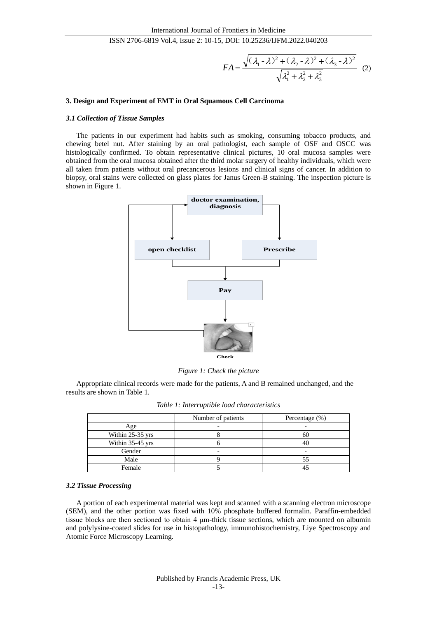$$
FA = \frac{\sqrt{(\lambda_1 - \lambda)^2 + (\lambda_2 - \lambda)^2 + (\lambda_3 - \lambda)^2}}{\sqrt{\lambda_1^2 + \lambda_2^2 + \lambda_3^2}} \tag{2}
$$

## **3. Design and Experiment of EMT in Oral Squamous Cell Carcinoma**

#### *3.1 Collection of Tissue Samples*

The patients in our experiment had habits such as smoking, consuming tobacco products, and chewing betel nut. After staining by an oral pathologist, each sample of OSF and OSCC was histologically confirmed. To obtain representative clinical pictures, 10 oral mucosa samples were obtained from the oral mucosa obtained after the third molar surgery of healthy individuals, which were all taken from patients without oral precancerous lesions and clinical signs of cancer. In addition to biopsy, oral stains were collected on glass plates for Janus Green-B staining. The inspection picture is shown in Figure 1.



*Figure 1: Check the picture*

Appropriate clinical records were made for the patients, A and B remained unchanged, and the results are shown in Table 1.

|  |  |  |  | Table 1: Interruptible load characteristics |
|--|--|--|--|---------------------------------------------|
|--|--|--|--|---------------------------------------------|

|                  | Number of patients | Percentage $(\%)$ |
|------------------|--------------------|-------------------|
| Age              |                    |                   |
| Within 25-35 yrs |                    | 60                |
| Within 35-45 yrs |                    |                   |
| Gender           |                    |                   |
| Male             |                    |                   |
| Female           |                    |                   |

## *3.2 Tissue Processing*

A portion of each experimental material was kept and scanned with a scanning electron microscope (SEM), and the other portion was fixed with 10% phosphate buffered formalin. Paraffin-embedded tissue blocks are then sectioned to obtain 4 μm-thick tissue sections, which are mounted on albumin and polylysine-coated slides for use in histopathology, immunohistochemistry, Liye Spectroscopy and Atomic Force Microscopy Learning.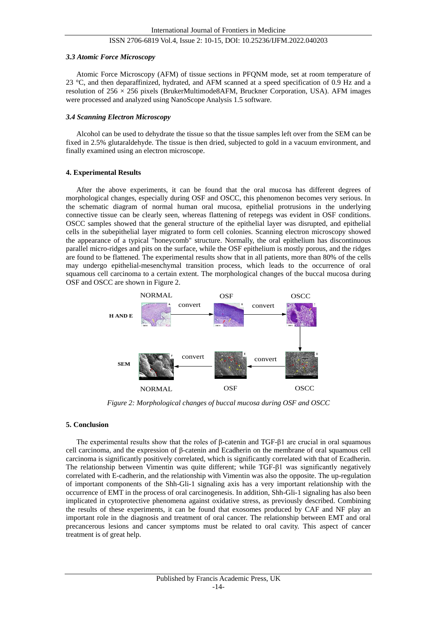#### *3.3 Atomic Force Microscopy*

Atomic Force Microscopy (AFM) of tissue sections in PFQNM mode, set at room temperature of 23 °C, and then deparaffinized, hydrated, and AFM scanned at a speed specification of 0.9 Hz and a resolution of 256 × 256 pixels (BrukerMultimode8AFM, Bruckner Corporation, USA). AFM images were processed and analyzed using NanoScope Analysis 1.5 software.

#### *3.4 Scanning Electron Microscopy*

Alcohol can be used to dehydrate the tissue so that the tissue samples left over from the SEM can be fixed in 2.5% glutaraldehyde. The tissue is then dried, subjected to gold in a vacuum environment, and finally examined using an electron microscope.

#### **4. Experimental Results**

After the above experiments, it can be found that the oral mucosa has different degrees of morphological changes, especially during OSF and OSCC, this phenomenon becomes very serious. In the schematic diagram of normal human oral mucosa, epithelial protrusions in the underlying connective tissue can be clearly seen, whereas flattening of retepegs was evident in OSF conditions. OSCC samples showed that the general structure of the epithelial layer was disrupted, and epithelial cells in the subepithelial layer migrated to form cell colonies. Scanning electron microscopy showed the appearance of a typical "honeycomb" structure. Normally, the oral epithelium has discontinuous parallel micro-ridges and pits on the surface, while the OSF epithelium is mostly porous, and the ridges are found to be flattened. The experimental results show that in all patients, more than 80% of the cells may undergo epithelial-mesenchymal transition process, which leads to the occurrence of oral squamous cell carcinoma to a certain extent. The morphological changes of the buccal mucosa during OSF and OSCC are shown in Figure 2.



*Figure 2: Morphological changes of buccal mucosa during OSF and OSCC*

## **5. Conclusion**

The experimental results show that the roles of β-catenin and TGF-β1 are crucial in oral squamous cell carcinoma, and the expression of β-catenin and Ecadherin on the membrane of oral squamous cell carcinoma is significantly positively correlated, which is significantly correlated with that of Ecadherin. The relationship between Vimentin was quite different; while TGF-β1 was significantly negatively correlated with E-cadherin, and the relationship with Vimentin was also the opposite. The up-regulation of important components of the Shh-Gli-1 signaling axis has a very important relationship with the occurrence of EMT in the process of oral carcinogenesis. In addition, Shh-Gli-1 signaling has also been implicated in cytoprotective phenomena against oxidative stress, as previously described. Combining the results of these experiments, it can be found that exosomes produced by CAF and NF play an important role in the diagnosis and treatment of oral cancer. The relationship between EMT and oral precancerous lesions and cancer symptoms must be related to oral cavity. This aspect of cancer treatment is of great help.